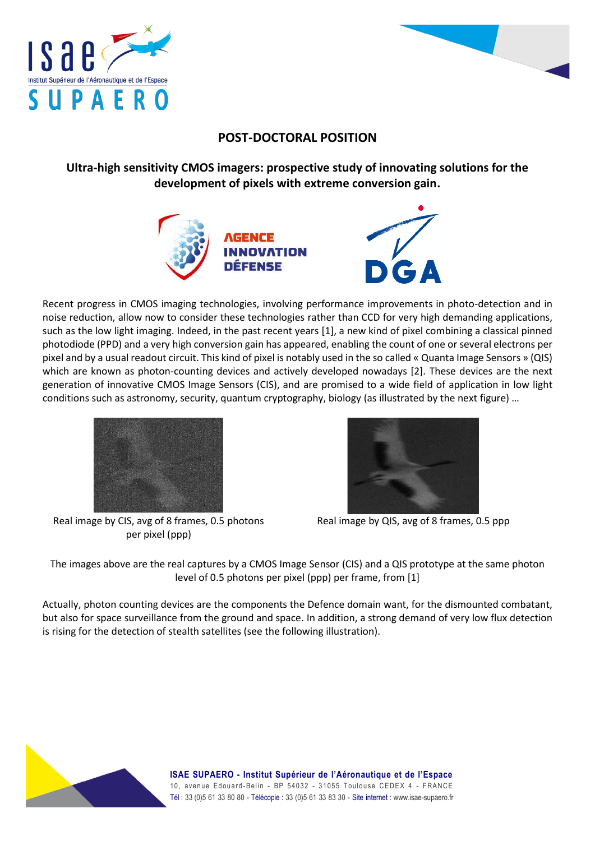



## **POST-DOCTORAL POSITION**

**Ultra-high sensitivity CMOS imagers: prospective study of innovating solutions for the development of pixels with extreme conversion gain.**



Recent progress in CMOS imaging technologies, involving performance improvements in photo-detection and in noise reduction, allow now to consider these technologies rather than CCD for very high demanding applications, such as the low light imaging. Indeed, in the past recent years [1], a new kind of pixel combining a classical pinned photodiode (PPD) and a very high conversion gain has appeared, enabling the count of one or several electrons per pixel and by a usual readout circuit. This kind of pixel is notably used in the so called « Quanta Image Sensors » (QIS) which are known as photon-counting devices and actively developed nowadays [2]. These devices are the next generation of innovative CMOS Image Sensors (CIS), and are promised to a wide field of application in low light conditions such as astronomy, security, quantum cryptography, biology (as illustrated by the next figure) …



Real image by CIS, avg of 8 frames, 0.5 photons per pixel (ppp)



Real image by QIS, avg of 8 frames, 0.5 ppp

The images above are the real captures by a CMOS Image Sensor (CIS) and a QIS prototype at the same photon level of 0.5 photons per pixel (ppp) per frame, from [1]

Actually, photon counting devices are the components the Defence domain want, for the dismounted combatant, but also for space surveillance from the ground and space. In addition, a strong demand of very low flux detection is rising for the detection of stealth satellites (see the following illustration).

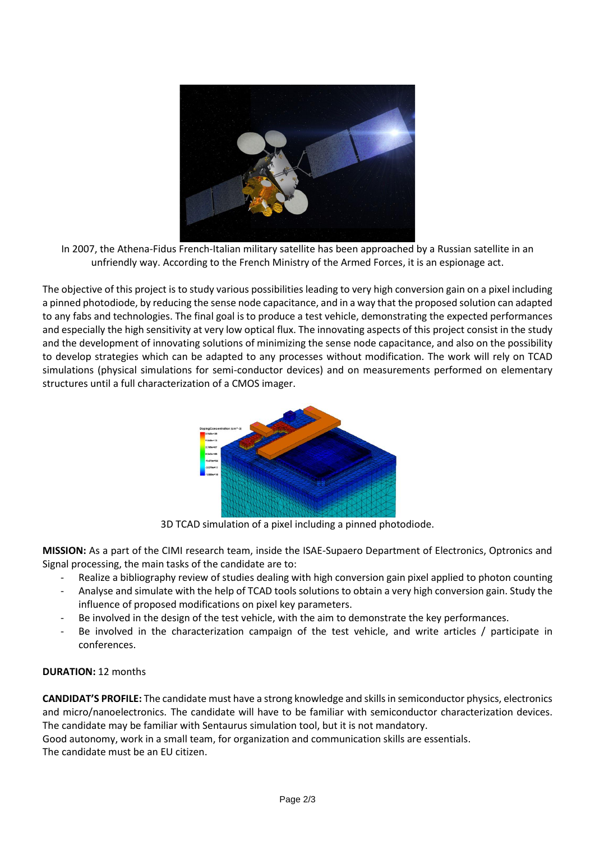

In 2007, the Athena-Fidus French-Italian military satellite has been approached by a Russian satellite in an unfriendly way. According to the French Ministry of the Armed Forces, it is an espionage act.

The objective of this project is to study various possibilities leading to very high conversion gain on a pixel including a pinned photodiode, by reducing the sense node capacitance, and in a way that the proposed solution can adapted to any fabs and technologies. The final goal is to produce a test vehicle, demonstrating the expected performances and especially the high sensitivity at very low optical flux. The innovating aspects of this project consist in the study and the development of innovating solutions of minimizing the sense node capacitance, and also on the possibility to develop strategies which can be adapted to any processes without modification. The work will rely on TCAD simulations (physical simulations for semi-conductor devices) and on measurements performed on elementary structures until a full characterization of a CMOS imager.



3D TCAD simulation of a pixel including a pinned photodiode.

**MISSION:** As a part of the CIMI research team, inside the ISAE-Supaero Department of Electronics, Optronics and Signal processing, the main tasks of the candidate are to:

- Realize a bibliography review of studies dealing with high conversion gain pixel applied to photon counting
- Analyse and simulate with the help of TCAD tools solutions to obtain a very high conversion gain. Study the influence of proposed modifications on pixel key parameters.
- Be involved in the design of the test vehicle, with the aim to demonstrate the key performances.
- Be involved in the characterization campaign of the test vehicle, and write articles / participate in conferences.

## **DURATION:** 12 months

**CANDIDAT'S PROFILE:** The candidate must have a strong knowledge and skills in semiconductor physics, electronics and micro/nanoelectronics. The candidate will have to be familiar with semiconductor characterization devices. The candidate may be familiar with Sentaurus simulation tool, but it is not mandatory. Good autonomy, work in a small team, for organization and communication skills are essentials.

The candidate must be an EU citizen.